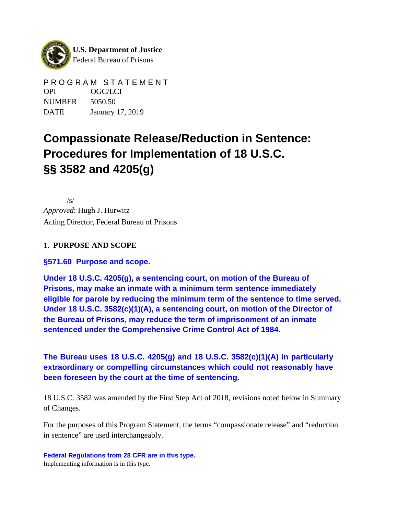

PROGRAM STATEMENT OPI OGC/LCI NUMBER 5050.50 DATE January 17, 2019

# **Compassionate Release/Reduction in Sentence: Procedures for Implementation of 18 U.S.C. §§ 3582 and 4205(g)**

/s/ *Approved*: Hugh J. Hurwitz Acting Director, Federal Bureau of Prisons

### 1. **PURPOSE AND SCOPE**

**§571.60 Purpose and scope.**

**Under 18 U.S.C. 4205(g), a sentencing court, on motion of the Bureau of Prisons, may make an inmate with a minimum term sentence immediately eligible for parole by reducing the minimum term of the sentence to time served. Under 18 U.S.C. 3582(c)(1)(A), a sentencing court, on motion of the Director of the Bureau of Prisons, may reduce the term of imprisonment of an inmate sentenced under the Comprehensive Crime Control Act of 1984.**

**The Bureau uses 18 U.S.C. 4205(g) and 18 U.S.C. 3582(c)(1)(A) in particularly extraordinary or compelling circumstances which could not reasonably have been foreseen by the court at the time of sentencing.**

18 U.S.C. 3582 was amended by the First Step Act of 2018, revisions noted below in Summary of Changes.

For the purposes of this Program Statement, the terms "compassionate release" and "reduction in sentence" are used interchangeably.

**Federal Regulations from 28 CFR are in this type.** Implementing information is in this type.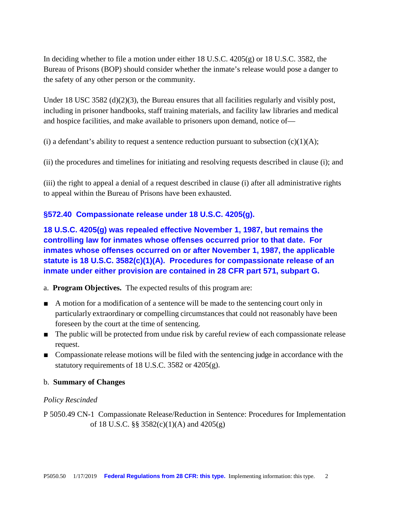In deciding whether to file a motion under either 18 U.S.C. 4205(g) or 18 U.S.C. 3582, the Bureau of Prisons (BOP) should consider whether the inmate's release would pose a danger to the safety of any other person or the community.

Under 18 USC 3582 (d)(2)(3), the Bureau ensures that all facilities regularly and visibly post, including in prisoner handbooks, staff training materials, and facility law libraries and medical and hospice facilities, and make available to prisoners upon demand, notice of—

(i) a defendant's ability to request a sentence reduction pursuant to subsection  $(c)(1)(A);$ 

(ii) the procedures and timelines for initiating and resolving requests described in clause (i); and

(iii) the right to appeal a denial of a request described in clause (i) after all administrative rights to appeal within the Bureau of Prisons have been exhausted.

#### **§572.40 Compassionate release under 18 U.S.C. 4205(g).**

**18 U.S.C. 4205(g) was repealed effective November 1, 1987, but remains the controlling law for inmates whose offenses occurred prior to that date. For inmates whose offenses occurred on or after November 1, 1987, the applicable statute is 18 U.S.C. 3582(c)(1)(A). Procedures for compassionate release of an inmate under either provision are contained in 28 CFR part 571, subpart G.**

a. **Program Objectives.** The expected results of this program are:

- A motion for a modification of a sentence will be made to the sentencing court only in particularly extraordinary or compelling circumstancesthat could not reasonably have been foreseen by the court at the time of sentencing.
- The public will be protected from undue risk by careful review of each compassionate release request.
- Compassionate release motions will be filed with the sentencing judge in accordance with the statutory requirements of 18 U.S.C. 3582 or 4205(g).

#### b. **Summary of Changes**

#### *Policy Rescinded*

P 5050.49 CN-1 Compassionate Release/Reduction in Sentence: Procedures for Implementation of 18 U.S.C. §§ 3582(c)(1)(A) and 4205(g)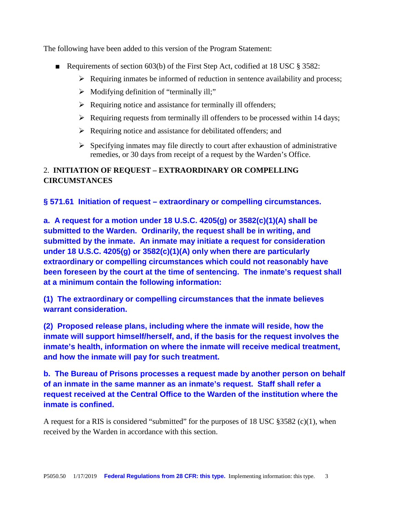The following have been added to this version of the Program Statement:

- Requirements of section 603(b) of the First Step Act, codified at 18 USC  $\S$  3582:
	- $\triangleright$  Requiring inmates be informed of reduction in sentence availability and process;
	- $\triangleright$  Modifying definition of "terminally ill;"
	- $\triangleright$  Requiring notice and assistance for terminally ill offenders;
	- $\triangleright$  Requiring requests from terminally ill offenders to be processed within 14 days;
	- $\triangleright$  Requiring notice and assistance for debilitated offenders; and
	- $\triangleright$  Specifying inmates may file directly to court after exhaustion of administrative remedies, or 30 days from receipt of a request by the Warden's Office.

# 2. **INITIATION OF REQUEST – EXTRAORDINARY OR COMPELLING CIRCUMSTANCES**

**§ 571.61 Initiation of request – extraordinary or compelling circumstances.** 

**a. A request for a motion under 18 U.S.C. 4205(g) or 3582(c)(1)(A) shall be submitted to the Warden. Ordinarily, the request shall be in writing, and submitted by the inmate. An inmate may initiate a request for consideration under 18 U.S.C. 4205(g) or 3582(c)(1)(A) only when there are particularly extraordinary or compelling circumstances which could not reasonably have been foreseen by the court at the time of sentencing. The inmate's request shall at a minimum contain the following information:**

**(1) The extraordinary or compelling circumstances that the inmate believes warrant consideration.**

**(2) Proposed release plans, including where the inmate will reside, how the inmate will support himself/herself, and, if the basis for the request involves the inmate's health, information on where the inmate will receive medical treatment, and how the inmate will pay for such treatment.**

**b. The Bureau of Prisons processes a request made by another person on behalf of an inmate in the same manner as an inmate's request. Staff shall refer a request received at the Central Office to the Warden of the institution where the inmate is confined.**

A request for a RIS is considered "submitted" for the purposes of 18 USC  $\S 3582$  (c)(1), when received by the Warden in accordance with this section.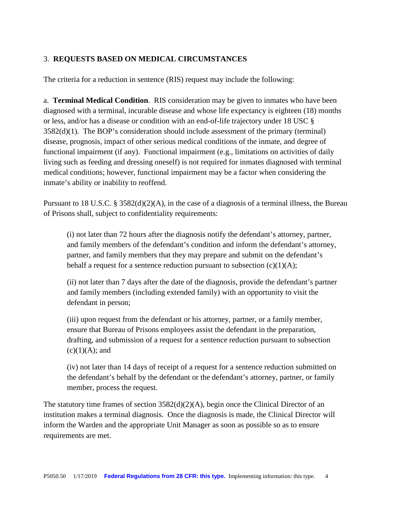### 3. **REQUESTS BASED ON MEDICAL CIRCUMSTANCES**

The criteria for a reduction in sentence (RIS) request may include the following:

a. **Terminal Medical Condition**. RIS consideration may be given to inmates who have been diagnosed with a terminal, incurable disease and whose life expectancy is eighteen (18) months or less, and/or has a disease or condition with an end-of-life trajectory under 18 USC § 3582(d)(1). The BOP's consideration should include assessment of the primary (terminal) disease, prognosis, impact of other serious medical conditions of the inmate, and degree of functional impairment (if any). Functional impairment (e.g., limitations on activities of daily living such as feeding and dressing oneself) is not required for inmates diagnosed with terminal medical conditions; however, functional impairment may be a factor when considering the inmate's ability or inability to reoffend.

Pursuant to 18 U.S.C. § 3582(d)(2)(A), in the case of a diagnosis of a terminal illness, the Bureau of Prisons shall, subject to confidentiality requirements:

(i) not later than 72 hours after the diagnosis notify the defendant's attorney, partner, and family members of the defendant's condition and inform the defendant's attorney, partner, and family members that they may prepare and submit on the defendant's behalf a request for a sentence reduction pursuant to subsection  $(c)(1)(A)$ ;

(ii) not later than 7 days after the date of the diagnosis, provide the defendant's partner and family members (including extended family) with an opportunity to visit the defendant in person;

(iii) upon request from the defendant or his attorney, partner, or a family member, ensure that Bureau of Prisons employees assist the defendant in the preparation, drafting, and submission of a request for a sentence reduction pursuant to subsection  $(c)(1)(A);$  and

(iv) not later than 14 days of receipt of a request for a sentence reduction submitted on the defendant's behalf by the defendant or the defendant's attorney, partner, or family member, process the request.

The statutory time frames of section  $3582(d)(2)(A)$ , begin once the Clinical Director of an institution makes a terminal diagnosis. Once the diagnosis is made, the Clinical Director will inform the Warden and the appropriate Unit Manager as soon as possible so as to ensure requirements are met.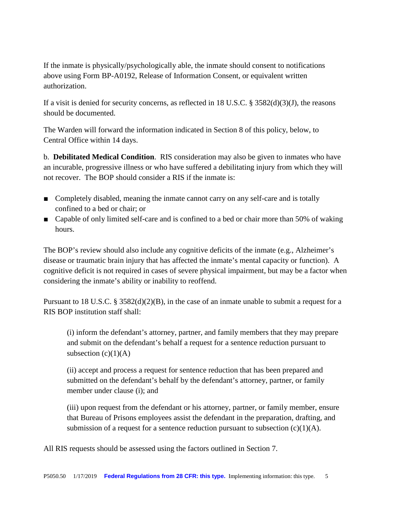If the inmate is physically/psychologically able, the inmate should consent to notifications above using Form BP-A0192, Release of Information Consent, or equivalent written authorization.

If a visit is denied for security concerns, as reflected in 18 U.S.C. § 3582(d)(3)(J), the reasons should be documented.

The Warden will forward the information indicated in Section 8 of this policy, below, to Central Office within 14 days.

b. **Debilitated Medical Condition**. RIS consideration may also be given to inmates who have an incurable, progressive illness or who have suffered a debilitating injury from which they will not recover. The BOP should consider a RIS if the inmate is:

- Completely disabled, meaning the inmate cannot carry on any self-care and is totally confined to a bed or chair; or
- Capable of only limited self-care and is confined to a bed or chair more than 50% of waking hours.

The BOP's review should also include any cognitive deficits of the inmate (e.g., Alzheimer's disease or traumatic brain injury that has affected the inmate's mental capacity or function). A cognitive deficit is not required in cases of severe physical impairment, but may be a factor when considering the inmate's ability or inability to reoffend.

Pursuant to 18 U.S.C. § 3582(d)(2)(B), in the case of an inmate unable to submit a request for a RIS BOP institution staff shall:

(i) inform the defendant's attorney, partner, and family members that they may prepare and submit on the defendant's behalf a request for a sentence reduction pursuant to subsection  $(c)(1)(A)$ 

(ii) accept and process a request for sentence reduction that has been prepared and submitted on the defendant's behalf by the defendant's attorney, partner, or family member under clause (i); and

(iii) upon request from the defendant or his attorney, partner, or family member, ensure that Bureau of Prisons employees assist the defendant in the preparation, drafting, and submission of a request for a sentence reduction pursuant to subsection  $(c)(1)(A)$ .

All RIS requests should be assessed using the factors outlined in Section 7.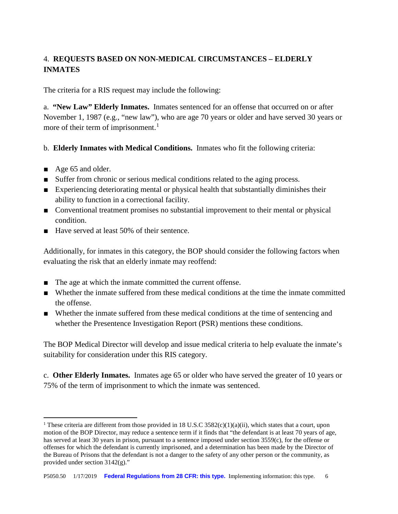# 4. **REQUESTS BASED ON NON-MEDICAL CIRCUMSTANCES – ELDERLY INMATES**

The criteria for a RIS request may include the following:

a. **"New Law" Elderly Inmates.** Inmates sentenced for an offense that occurred on or after November 1, 1987 (e.g., "new law"), who are age 70 years or older and have served 30 years or more of their term of imprisonment.<sup>[1](#page-5-0)</sup>

b. **Elderly Inmates with Medical Conditions.** Inmates who fit the following criteria:

■ Age 65 and older.

**.** 

- Suffer from chronic or serious medical conditions related to the aging process.
- Experiencing deteriorating mental or physical health that substantially diminishes their ability to function in a correctional facility.
- Conventional treatment promises no substantial improvement to their mental or physical condition.
- Have served at least 50% of their sentence.

Additionally, for inmates in this category, the BOP should consider the following factors when evaluating the risk that an elderly inmate may reoffend:

- The age at which the inmate committed the current offense.
- Whether the inmate suffered from these medical conditions at the time the inmate committed the offense.
- Whether the inmate suffered from these medical conditions at the time of sentencing and whether the Presentence Investigation Report (PSR) mentions these conditions.

The BOP Medical Director will develop and issue medical criteria to help evaluate the inmate's suitability for consideration under this RIS category.

c. **Other Elderly Inmates.** Inmates age 65 or older who have served the greater of 10 years or 75% of the term of imprisonment to which the inmate was sentenced.

<span id="page-5-0"></span><sup>&</sup>lt;sup>1</sup> These criteria are different from those provided in 18 U.S.C 3582(c)(1)(a)(ii), which states that a court, upon motion of the BOP Director, may reduce a sentence term if it finds that "the defendant is at least 70 years of age, has served at least 30 years in prison, pursuant to a sentence imposed under section 3559(c), for the offense or offenses for which the defendant is currently imprisoned, and a determination has been made by the Director of the Bureau of Prisons that the defendant is not a danger to the safety of any other person or the community, as provided under section 3142(g)."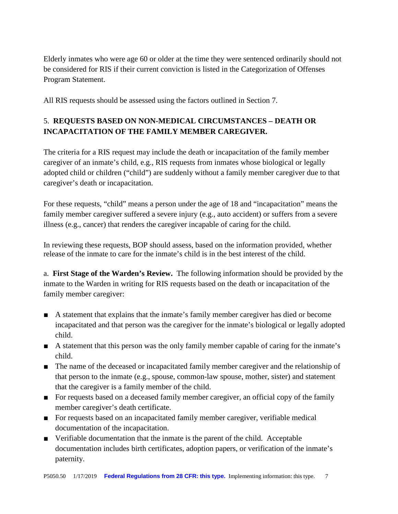Elderly inmates who were age 60 or older at the time they were sentenced ordinarily should not be considered for RIS if their current conviction is listed in the Categorization of Offenses Program Statement.

All RIS requests should be assessed using the factors outlined in Section 7.

# 5. **REQUESTS BASED ON NON-MEDICAL CIRCUMSTANCES – DEATH OR INCAPACITATION OF THE FAMILY MEMBER CAREGIVER.**

The criteria for a RIS request may include the death or incapacitation of the family member caregiver of an inmate's child, e.g., RIS requests from inmates whose biological or legally adopted child or children ("child") are suddenly without a family member caregiver due to that caregiver's death or incapacitation.

For these requests, "child" means a person under the age of 18 and "incapacitation" means the family member caregiver suffered a severe injury (e.g., auto accident) or suffers from a severe illness (e.g., cancer) that renders the caregiver incapable of caring for the child.

In reviewing these requests, BOP should assess, based on the information provided, whether release of the inmate to care for the inmate's child is in the best interest of the child.

a. **First Stage of the Warden's Review.** The following information should be provided by the inmate to the Warden in writing for RIS requests based on the death or incapacitation of the family member caregiver:

- A statement that explains that the inmate's family member caregiver has died or become incapacitated and that person was the caregiver for the inmate's biological or legally adopted child.
- A statement that this person was the only family member capable of caring for the inmate's child.
- The name of the deceased or incapacitated family member caregiver and the relationship of that person to the inmate (e.g., spouse, common-law spouse, mother, sister) and statement that the caregiver is a family member of the child.
- For requests based on a deceased family member caregiver, an official copy of the family member caregiver's death certificate.
- For requests based on an incapacitated family member caregiver, verifiable medical documentation of the incapacitation.
- Verifiable documentation that the inmate is the parent of the child. Acceptable documentation includes birth certificates, adoption papers, or verification of the inmate's paternity.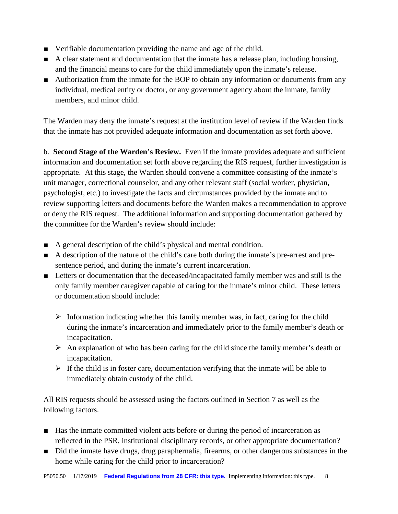- Verifiable documentation providing the name and age of the child.
- A clear statement and documentation that the inmate has a release plan, including housing, and the financial means to care for the child immediately upon the inmate's release.
- Authorization from the inmate for the BOP to obtain any information or documents from any individual, medical entity or doctor, or any government agency about the inmate, family members, and minor child.

The Warden may deny the inmate's request at the institution level of review if the Warden finds that the inmate has not provided adequate information and documentation as set forth above.

b. **Second Stage of the Warden's Review.** Even if the inmate provides adequate and sufficient information and documentation set forth above regarding the RIS request, further investigation is appropriate. At this stage, the Warden should convene a committee consisting of the inmate's unit manager, correctional counselor, and any other relevant staff (social worker, physician, psychologist, etc.) to investigate the facts and circumstances provided by the inmate and to review supporting letters and documents before the Warden makes a recommendation to approve or deny the RIS request. The additional information and supporting documentation gathered by the committee for the Warden's review should include:

- A general description of the child's physical and mental condition.
- A description of the nature of the child's care both during the inmate's pre-arrest and presentence period, and during the inmate's current incarceration.
- Letters or documentation that the deceased/incapacitated family member was and still is the only family member caregiver capable of caring for the inmate's minor child. These letters or documentation should include:
	- $\triangleright$  Information indicating whether this family member was, in fact, caring for the child during the inmate's incarceration and immediately prior to the family member's death or incapacitation.
	- $\triangleright$  An explanation of who has been caring for the child since the family member's death or incapacitation.
	- $\triangleright$  If the child is in foster care, documentation verifying that the inmate will be able to immediately obtain custody of the child.

All RIS requests should be assessed using the factors outlined in Section 7 as well as the following factors.

- Has the inmate committed violent acts before or during the period of incarceration as reflected in the PSR, institutional disciplinary records, or other appropriate documentation?
- Did the inmate have drugs, drug paraphernalia, firearms, or other dangerous substances in the home while caring for the child prior to incarceration?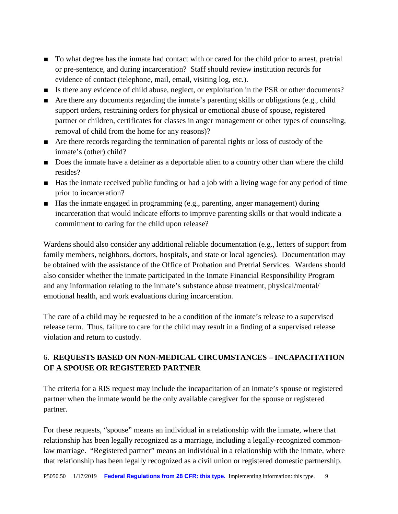- To what degree has the inmate had contact with or cared for the child prior to arrest, pretrial or pre-sentence, and during incarceration? Staff should review institution records for evidence of contact (telephone, mail, email, visiting log, etc.).
- Is there any evidence of child abuse, neglect, or exploitation in the PSR or other documents?
- Are there any documents regarding the inmate's parenting skills or obligations (e.g., child support orders, restraining orders for physical or emotional abuse of spouse, registered partner or children, certificates for classes in anger management or other types of counseling, removal of child from the home for any reasons)?
- Are there records regarding the termination of parental rights or loss of custody of the inmate's (other) child?
- Does the inmate have a detainer as a deportable alien to a country other than where the child resides?
- Has the inmate received public funding or had a job with a living wage for any period of time prior to incarceration?
- Has the inmate engaged in programming (e.g., parenting, anger management) during incarceration that would indicate efforts to improve parenting skills or that would indicate a commitment to caring for the child upon release?

Wardens should also consider any additional reliable documentation (e.g., letters of support from family members, neighbors, doctors, hospitals, and state or local agencies). Documentation may be obtained with the assistance of the Office of Probation and Pretrial Services. Wardens should also consider whether the inmate participated in the Inmate Financial Responsibility Program and any information relating to the inmate's substance abuse treatment, physical/mental/ emotional health, and work evaluations during incarceration.

The care of a child may be requested to be a condition of the inmate's release to a supervised release term. Thus, failure to care for the child may result in a finding of a supervised release violation and return to custody.

## 6. **REQUESTS BASED ON NON-MEDICAL CIRCUMSTANCES – INCAPACITATION OF A SPOUSE OR REGISTERED PARTNER**

The criteria for a RIS request may include the incapacitation of an inmate's spouse or registered partner when the inmate would be the only available caregiver for the spouse or registered partner.

For these requests, "spouse" means an individual in a relationship with the inmate, where that relationship has been legally recognized as a marriage, including a legally-recognized commonlaw marriage. "Registered partner" means an individual in a relationship with the inmate, where that relationship has been legally recognized as a civil union or registered domestic partnership.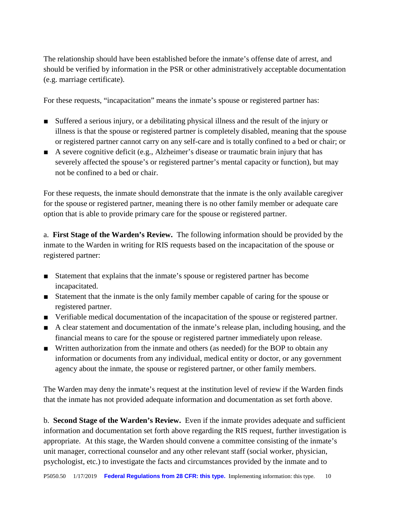The relationship should have been established before the inmate's offense date of arrest, and should be verified by information in the PSR or other administratively acceptable documentation (e.g. marriage certificate).

For these requests, "incapacitation" means the inmate's spouse or registered partner has:

- Suffered a serious injury, or a debilitating physical illness and the result of the injury or illness is that the spouse or registered partner is completely disabled, meaning that the spouse or registered partner cannot carry on any self-care and is totally confined to a bed or chair; or
- A severe cognitive deficit (e.g., Alzheimer's disease or traumatic brain injury that has severely affected the spouse's or registered partner's mental capacity or function), but may not be confined to a bed or chair.

For these requests, the inmate should demonstrate that the inmate is the only available caregiver for the spouse or registered partner, meaning there is no other family member or adequate care option that is able to provide primary care for the spouse or registered partner.

a. **First Stage of the Warden's Review.** The following information should be provided by the inmate to the Warden in writing for RIS requests based on the incapacitation of the spouse or registered partner:

- Statement that explains that the inmate's spouse or registered partner has become incapacitated.
- Statement that the inmate is the only family member capable of caring for the spouse or registered partner.
- Verifiable medical documentation of the incapacitation of the spouse or registered partner.
- A clear statement and documentation of the inmate's release plan, including housing, and the financial means to care for the spouse or registered partner immediately upon release.
- Written authorization from the inmate and others (as needed) for the BOP to obtain any information or documents from any individual, medical entity or doctor, or any government agency about the inmate, the spouse or registered partner, or other family members.

The Warden may deny the inmate's request at the institution level of review if the Warden finds that the inmate has not provided adequate information and documentation as set forth above.

b. **Second Stage of the Warden's Review.** Even if the inmate provides adequate and sufficient information and documentation set forth above regarding the RIS request, further investigation is appropriate. At this stage, the Warden should convene a committee consisting of the inmate's unit manager, correctional counselor and any other relevant staff (social worker, physician, psychologist, etc.) to investigate the facts and circumstances provided by the inmate and to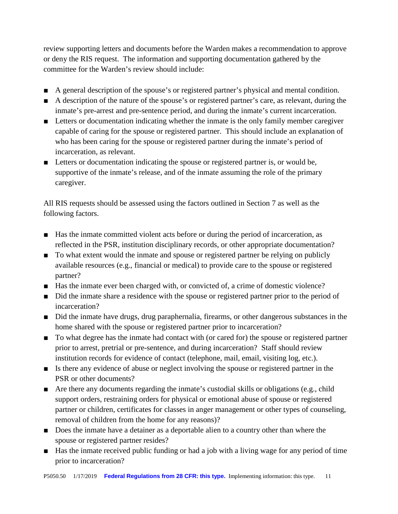review supporting letters and documents before the Warden makes a recommendation to approve or deny the RIS request. The information and supporting documentation gathered by the committee for the Warden's review should include:

- A general description of the spouse's or registered partner's physical and mental condition.
- A description of the nature of the spouse's or registered partner's care, as relevant, during the inmate's pre-arrest and pre-sentence period, and during the inmate's current incarceration.
- Letters or documentation indicating whether the inmate is the only family member caregiver capable of caring for the spouse or registered partner. This should include an explanation of who has been caring for the spouse or registered partner during the inmate's period of incarceration, as relevant.
- Letters or documentation indicating the spouse or registered partner is, or would be, supportive of the inmate's release, and of the inmate assuming the role of the primary caregiver.

All RIS requests should be assessed using the factors outlined in Section 7 as well as the following factors.

- Has the inmate committed violent acts before or during the period of incarceration, as reflected in the PSR, institution disciplinary records, or other appropriate documentation?
- To what extent would the inmate and spouse or registered partner be relying on publicly available resources (e.g., financial or medical) to provide care to the spouse or registered partner?
- Has the inmate ever been charged with, or convicted of, a crime of domestic violence?
- Did the inmate share a residence with the spouse or registered partner prior to the period of incarceration?
- Did the inmate have drugs, drug paraphernalia, firearms, or other dangerous substances in the home shared with the spouse or registered partner prior to incarceration?
- To what degree has the inmate had contact with (or cared for) the spouse or registered partner prior to arrest, pretrial or pre-sentence, and during incarceration? Staff should review institution records for evidence of contact (telephone, mail, email, visiting log, etc.).
- Is there any evidence of abuse or neglect involving the spouse or registered partner in the PSR or other documents?
- Are there any documents regarding the inmate's custodial skills or obligations (e.g., child support orders, restraining orders for physical or emotional abuse of spouse or registered partner or children, certificates for classes in anger management or other types of counseling, removal of children from the home for any reasons)?
- Does the inmate have a detainer as a deportable alien to a country other than where the spouse or registered partner resides?
- Has the inmate received public funding or had a job with a living wage for any period of time prior to incarceration?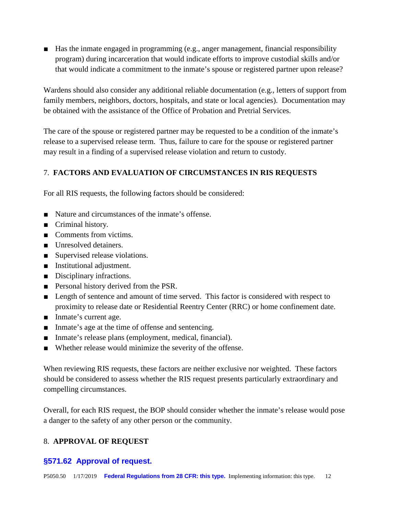■ Has the inmate engaged in programming (e.g., anger management, financial responsibility program) during incarceration that would indicate efforts to improve custodial skills and/or that would indicate a commitment to the inmate's spouse or registered partner upon release?

Wardens should also consider any additional reliable documentation (e.g., letters of support from family members, neighbors, doctors, hospitals, and state or local agencies). Documentation may be obtained with the assistance of the Office of Probation and Pretrial Services.

The care of the spouse or registered partner may be requested to be a condition of the inmate's release to a supervised release term. Thus, failure to care for the spouse or registered partner may result in a finding of a supervised release violation and return to custody.

## 7. **FACTORS AND EVALUATION OF CIRCUMSTANCES IN RIS REQUESTS**

For all RIS requests, the following factors should be considered:

- Nature and circumstances of the inmate's offense.
- Criminal history.
- Comments from victims.
- Unresolved detainers.
- Supervised release violations.
- Institutional adjustment.
- Disciplinary infractions.
- Personal history derived from the PSR.
- Length of sentence and amount of time served. This factor is considered with respect to proximity to release date or Residential Reentry Center (RRC) or home confinement date.
- Inmate's current age.
- Inmate's age at the time of offense and sentencing.
- Inmate's release plans (employment, medical, financial).
- Whether release would minimize the severity of the offense.

When reviewing RIS requests, these factors are neither exclusive nor weighted. These factors should be considered to assess whether the RIS request presents particularly extraordinary and compelling circumstances.

Overall, for each RIS request, the BOP should consider whether the inmate's release would pose a danger to the safety of any other person or the community.

## 8. **APPROVAL OF REQUEST**

#### **§571.62 Approval of request.**

P5050.50 1/17/2019 **Federal Regulations from 28 CFR: this type.** Implementing information: this type. 12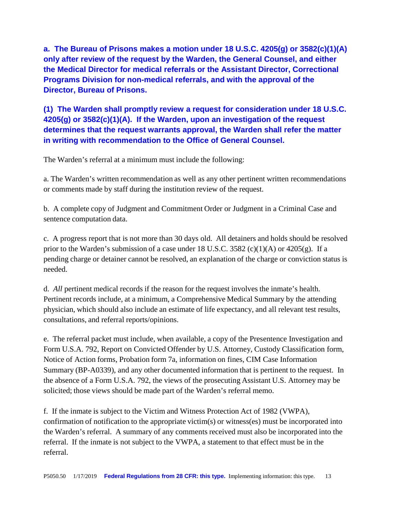**a. The Bureau of Prisons makes a motion under 18 U.S.C. 4205(g) or 3582(c)(1)(A) only after review of the request by the Warden, the General Counsel, and either the Medical Director for medical referrals or the Assistant Director, Correctional Programs Division for non-medical referrals, and with the approval of the Director, Bureau of Prisons.**

**(1) The Warden shall promptly review a request for consideration under 18 U.S.C. 4205(g) or 3582(c)(1)(A). If the Warden, upon an investigation of the request determines that the request warrants approval, the Warden shall refer the matter in writing with recommendation to the Office of General Counsel.**

The Warden's referral at a minimum must include the following:

a. The Warden's written recommendation as well as any other pertinent written recommendations or comments made by staff during the institution review of the request.

b. A complete copy of Judgment and Commitment Order or Judgment in a Criminal Case and sentence computation data.

c. A progress report that is not more than 30 days old. All detainers and holds should be resolved prior to the Warden's submission of a case under 18 U.S.C. 3582 (c)(1)(A) or 4205(g). If a pending charge or detainer cannot be resolved, an explanation of the charge or conviction status is needed.

d. *All* pertinent medical records if the reason for the request involves the inmate's health. Pertinent records include, at a minimum, a Comprehensive Medical Summary by the attending physician, which should also include an estimate of life expectancy, and all relevant test results, consultations, and referral reports/opinions.

e. The referral packet must include, when available, a copy of the Presentence Investigation and Form U.S.A. 792, Report on Convicted Offender by U.S. Attorney, Custody Classification form, Notice of Action forms, Probation form 7a, information on fines, CIM Case Information Summary (BP-A0339), and any other documented information that is pertinent to the request. In the absence of a Form U.S.A. 792, the views of the prosecuting Assistant U.S. Attorney may be solicited; those views should be made part of the Warden's referral memo.

f. If the inmate is subject to the Victim and Witness Protection Act of 1982 (VWPA), confirmation of notification to the appropriate victim(s) or witness(es) must be incorporated into the Warden's referral. A summary of any comments received must also be incorporated into the referral. If the inmate is not subject to the VWPA, a statement to that effect must be in the referral.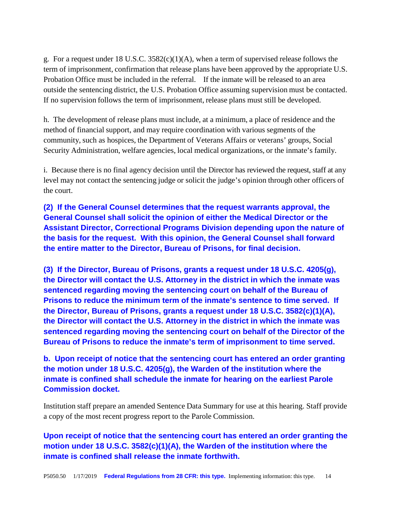g. For a request under 18 U.S.C. 3582(c)(1)(A), when a term of supervised release follows the term of imprisonment, confirmation that release plans have been approved by the appropriate U.S. Probation Office must be included in the referral. If the inmate will be released to an area outside the sentencing district, the U.S. Probation Office assuming supervision must be contacted. If no supervision follows the term of imprisonment, release plans must still be developed.

h. The development of release plans must include, at a minimum, a place of residence and the method of financial support, and may require coordination with various segments of the community, such as hospices, the Department of Veterans Affairs or veterans' groups, Social Security Administration, welfare agencies, local medical organizations, or the inmate's family.

i. Because there is no final agency decision until the Director has reviewed the request, staff at any level may not contact the sentencing judge or solicit the judge's opinion through other officers of the court.

**(2) If the General Counsel determines that the request warrants approval, the General Counsel shall solicit the opinion of either the Medical Director or the Assistant Director, Correctional Programs Division depending upon the nature of the basis for the request. With this opinion, the General Counsel shall forward the entire matter to the Director, Bureau of Prisons, for final decision.**

**(3) If the Director, Bureau of Prisons, grants a request under 18 U.S.C. 4205(g), the Director will contact the U.S. Attorney in the district in which the inmate was sentenced regarding moving the sentencing court on behalf of the Bureau of Prisons to reduce the minimum term of the inmate's sentence to time served. If the Director, Bureau of Prisons, grants a request under 18 U.S.C. 3582(c)(1)(A), the Director will contact the U.S. Attorney in the district in which the inmate was sentenced regarding moving the sentencing court on behalf of the Director of the Bureau of Prisons to reduce the inmate's term of imprisonment to time served.**

**b. Upon receipt of notice that the sentencing court has entered an order granting the motion under 18 U.S.C. 4205(g), the Warden of the institution where the inmate is confined shall schedule the inmate for hearing on the earliest Parole Commission docket.**

Institution staff prepare an amended Sentence Data Summary for use at this hearing. Staff provide a copy of the most recent progress report to the Parole Commission.

**Upon receipt of notice that the sentencing court has entered an order granting the motion under 18 U.S.C. 3582(c)(1)(A), the Warden of the institution where the inmate is confined shall release the inmate forthwith.**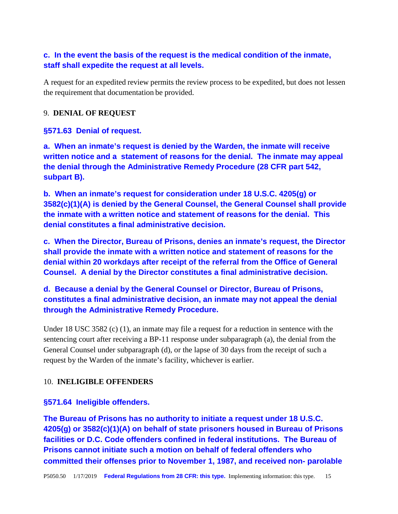## **c. In the event the basis of the request is the medical condition of the inmate, staff shall expedite the request at all levels.**

A request for an expedited review permits the review process to be expedited, but does not lessen the requirement that documentation be provided.

#### 9. **DENIAL OF REQUEST**

#### **§571.63 Denial of request.**

**a. When an inmate's request is denied by the Warden, the inmate will receive written notice and a statement of reasons for the denial. The inmate may appeal the denial through the Administrative Remedy Procedure (28 CFR part 542, subpart B).**

**b. When an inmate's request for consideration under 18 U.S.C. 4205(g) or 3582(c)(1)(A) is denied by the General Counsel, the General Counsel shall provide the inmate with a written notice and statement of reasons for the denial. This denial constitutes a final administrative decision.**

**c. When the Director, Bureau of Prisons, denies an inmate's request, the Director shall provide the inmate with a written notice and statement of reasons for the denial within 20 workdays after receipt of the referral from the Office of General Counsel. A denial by the Director constitutes a final administrative decision.**

**d. Because a denial by the General Counsel or Director, Bureau of Prisons, constitutes a final administrative decision, an inmate may not appeal the denial through the Administrative Remedy Procedure.**

Under 18 USC 3582 (c) (1), an inmate may file a request for a reduction in sentence with the sentencing court after receiving a BP-11 response under subparagraph (a), the denial from the General Counsel under subparagraph (d), or the lapse of 30 days from the receipt of such a request by the Warden of the inmate's facility, whichever is earlier.

#### 10. **INELIGIBLE OFFENDERS**

#### **§571.64 Ineligible offenders.**

**The Bureau of Prisons has no authority to initiate a request under 18 U.S.C. 4205(g) or 3582(c)(1)(A) on behalf of state prisoners housed in Bureau of Prisons facilities or D.C. Code offenders confined in federal institutions. The Bureau of Prisons cannot initiate such a motion on behalf of federal offenders who committed their offenses prior to November 1, 1987, and received non- parolable**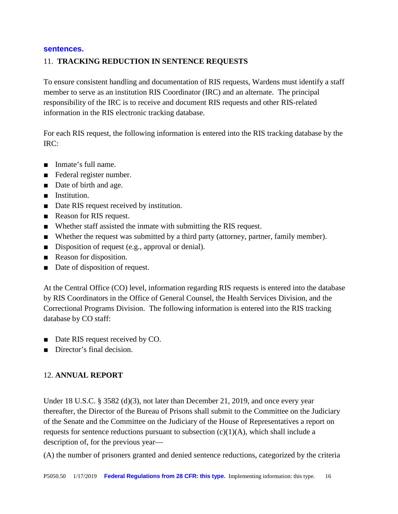#### **sentences.**

#### 11. **TRACKING REDUCTION IN SENTENCE REQUESTS**

To ensure consistent handling and documentation of RIS requests, Wardens must identify a staff member to serve as an institution RIS Coordinator (IRC) and an alternate. The principal responsibility of the IRC is to receive and document RIS requests and other RIS-related information in the RIS electronic tracking database.

For each RIS request, the following information is entered into the RIS tracking database by the IRC:

- Inmate's full name.
- Federal register number.
- Date of birth and age.
- Institution.
- Date RIS request received by institution.
- Reason for RIS request.
- Whether staff assisted the inmate with submitting the RIS request.
- Whether the request was submitted by a third party (attorney, partner, family member).
- Disposition of request (e.g., approval or denial).
- Reason for disposition.
- Date of disposition of request.

At the Central Office (CO) level, information regarding RIS requests is entered into the database by RIS Coordinators in the Office of General Counsel, the Health Services Division, and the Correctional Programs Division. The following information is entered into the RIS tracking database by CO staff:

- Date RIS request received by CO.
- Director's final decision.

#### 12. **ANNUAL REPORT**

Under 18 U.S.C. § 3582 (d)(3), not later than December 21, 2019, and once every year thereafter, the Director of the Bureau of Prisons shall submit to the Committee on the Judiciary of the Senate and the Committee on the Judiciary of the House of Representatives a report on requests for sentence reductions pursuant to subsection  $(c)(1)(A)$ , which shall include a description of, for the previous year—

(A) the number of prisoners granted and denied sentence reductions, categorized by the criteria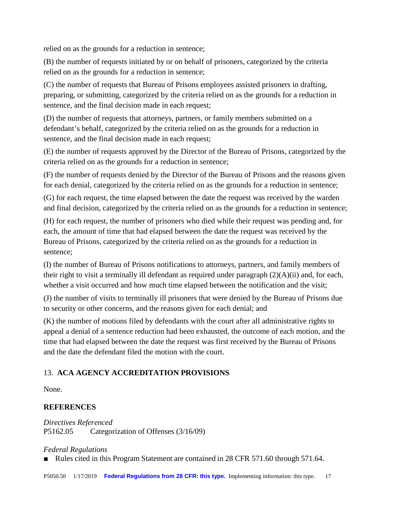relied on as the grounds for a reduction in sentence;

(B) the number of requests initiated by or on behalf of prisoners, categorized by the criteria relied on as the grounds for a reduction in sentence;

(C) the number of requests that Bureau of Prisons employees assisted prisoners in drafting, preparing, or submitting, categorized by the criteria relied on as the grounds for a reduction in sentence, and the final decision made in each request;

(D) the number of requests that attorneys, partners, or family members submitted on a defendant's behalf, categorized by the criteria relied on as the grounds for a reduction in sentence, and the final decision made in each request;

(E) the number of requests approved by the Director of the Bureau of Prisons, categorized by the criteria relied on as the grounds for a reduction in sentence;

(F) the number of requests denied by the Director of the Bureau of Prisons and the reasons given for each denial, categorized by the criteria relied on as the grounds for a reduction in sentence;

(G) for each request, the time elapsed between the date the request was received by the warden and final decision, categorized by the criteria relied on as the grounds for a reduction in sentence;

(H) for each request, the number of prisoners who died while their request was pending and, for each, the amount of time that had elapsed between the date the request was received by the Bureau of Prisons, categorized by the criteria relied on as the grounds for a reduction in sentence;

(I) the number of Bureau of Prisons notifications to attorneys, partners, and family members of their right to visit a terminally ill defendant as required under paragraph (2)(A)(ii) and, for each, whether a visit occurred and how much time elapsed between the notification and the visit;

(J) the number of visits to terminally ill prisoners that were denied by the Bureau of Prisons due to security or other concerns, and the reasons given for each denial; and

(K) the number of motions filed by defendants with the court after all administrative rights to appeal a denial of a sentence reduction had been exhausted, the outcome of each motion, and the time that had elapsed between the date the request was first received by the Bureau of Prisons and the date the defendant filed the motion with the court.

## 13. **ACA AGENCY ACCREDITATION PROVISIONS**

None.

# **REFERENCES**

*Directives Referenced* P5162.05 Categorization of Offenses (3/16/09)

*Federal Regulations*

■ Rules cited in this Program Statement are contained in 28 CFR 571.60 through 571.64.